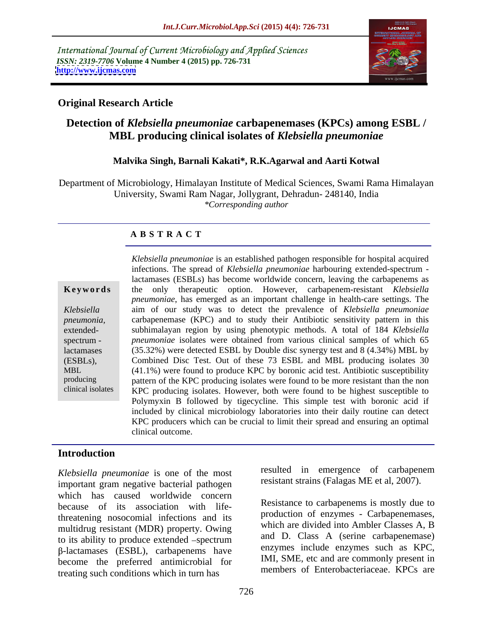International Journal of Current Microbiology and Applied Sciences *ISSN: 2319-7706* **Volume 4 Number 4 (2015) pp. 726-731 <http://www.ijcmas.com>**



### **Original Research Article**

# **Detection of** *Klebsiella pneumoniae* **carbapenemases (KPCs) among ESBL / MBL producing clinical isolates of** *Klebsiella pneumoniae*

### **Malvika Singh, Barnali Kakati\*, R.K.Agarwal and Aarti Kotwal**

Department of Microbiology, Himalayan Institute of Medical Sciences, Swami Rama Himalayan University, Swami Ram Nagar, Jollygrant, Dehradun- 248140, India *\*Corresponding author*

### **A B S T R A C T**

clinical isolates

*Klebsiella pneumoniae* is an established pathogen responsible for hospital acquired infections. The spread of *Klebsiella pneumoniae* harbouring extended-spectrum lactamases (ESBLs) has become worldwide concern, leaving the carbapenems as **Keywords** the only therapeutic option. However, carbapenem-resistant *Klebsiella pneumoniae*, has emerged as an important challenge in health-care settings. The aim of our study was to detect the prevalence of *Klebsiella pneumoniae Klebsiella*  carbapenemase (KPC) and to study their Antibiotic sensitivity pattern in this *pneumonia,* subhimalayan region by using phenotypic methods. A total of 184 *Klebsiella*  extended spectrum - *pneumoniae* isolates were obtained from various clinical samples of which 65 (35.32%) were detected ESBL by Double disc synergy test and 8 (4.34%) MBL by lactamases Combined Disc Test. Out of these 73 ESBL and MBL producing isolates 30 (ESBLs), (41.1%) were found to produce KPC by boronic acid test. Antibiotic susceptibility MBL producing pattern of the KPC producing isolates were found to be more resistant than the non KPC producing isolates. However, both were found to be highest susceptible to Polymyxin B followed by tigecycline. This simple test with boronic acid if included by clinical microbiology laboratories into their daily routine can detect KPC producers which can be crucial to limit their spread and ensuring an optimal clinical outcome.

# **Introduction**

*Klebsiella pneumoniae* is one of the most important gram negative bacterial pathogen which has caused worldwide concern because of its association with lifethreatening nosocomial infections and its multidrug resistant (MDR) property. Owing to its ability to produce extended  $-\text{spectrum}$  and D. Class A (serine carbapenemase)<br> $\beta$ -lactamases (ESBL), carbapenems have  $\alpha$  and  $\beta$ -lactamases such as KPC, become the preferred antimicrobial for treating such conditions which in turn has

resulted in emergence of carbapenem resistant strains (Falagas ME et al, 2007).

Resistance to carbapenems is mostly due to production of enzymes - Carbapenemases, which are divided into Ambler Classes A, B and D. Class A (serine carbapenemase) enzymes include enzymes such as KPC, IMI, SME, etc and are commonly present in members of Enterobacteriaceae. KPCs are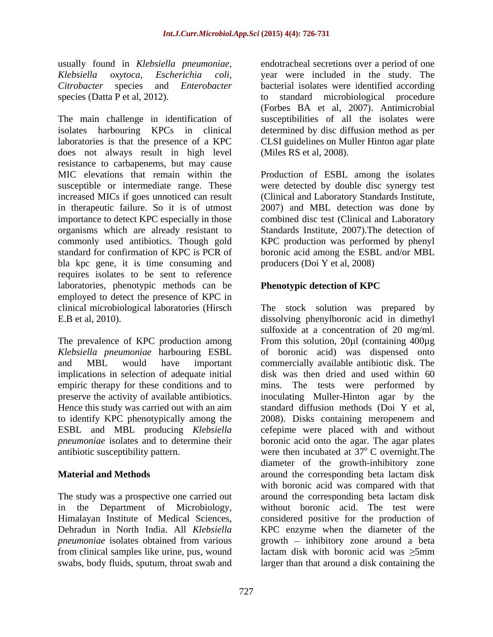The main challenge in identification of susceptibilities of all the isolates were isolates harbouring KPCs in clinical determined by disc diffusion method as per laboratories is that the presence of a KPC CLSI guidelines on Muller Hinton agar plate does not always result in high level resistance to carbapenems, but may cause MIC elevations that remain within the Production of ESBL among the isolates susceptible or intermediate range. These were detected by double disc synergy test increased MICs if goes unnoticed can result (Clinical and Laboratory Standards Institute, in therapeutic failure. So it is of utmost 2007) and MBL detection was done by importance to detect KPC especially in those organisms which are already resistant to Standards Institute, 2007).The detection of commonly used antibiotics. Though gold KPC production was performed by phenyl standard for confirmation of KPC is PCR of boronic acid among the ESBL and/or MBL bla kpc gene, it is time consuming and requires isolates to be sent to reference laboratories, phenotypic methods can be **Phenotypic detection of KPC** employed to detect the presence of KPC in

implications in selection of adequate initial ESBL and MBL producing *Klebsiella* 

The study was a prospective one carried out around the corresponding beta lactam disk in the Department of Microbiology, swabs, body fluids, sputum, throat swab and

usually found in *Klebsiella pneumoniae,* endotracheal secretions over a period of one *Klebsiella oxytoca*, *Escherichia coli,* year were included in the study. The *Citrobacter* species and *Enterobacter*  bacterial isolates were identified according species (Datta P et al, 2012). to standard microbiological procedure (Forbes BA et al, 2007). Antimicrobial (Miles RS et al, 2008).

> combined disc test (Clinical and Laboratory producers (Doi Y et al, 2008)

## **Phenotypic detection of KPC**

clinical microbiological laboratories (Hirsch The stock solution was prepared by E.B et al, 2010). dissolving phenylboronic acid in dimethyl The prevalence of KPC production among From this solution, 20µl (containing 400µg *Klebsiella pneumoniae* harbouring ESBL of boronic acid) was dispensed onto and MBL would have important commercially available antibiotic disk. The empiric therapy for these conditions and to mins. The tests were performed by preserve the activity of available antibiotics. inoculating Muller-Hinton agar by the Hence this study was carried out with an aim standard diffusion methods (Doi Y et al, to identify KPC phenotypically among the 2008). Disks containing meropenem and *pneumoniae* isolates and to determine their boronic acid onto the agar. The agar plates antibiotic susceptibility pattern.  $\blacksquare$  were then incubated at 37 $\rm ^o$  C overnight. The **Material and Methods** around the corresponding beta lactam disk Himalayan Institute of Medical Sciences, considered positive for the production of Dehradun in North India. All *Klebsiella*  KPC enzyme when the diameter of the *pneumoniae* isolates obtained from various growth – inhibitory zone around a beta from clinical samples like urine, pus, wound lactam disk with boronic acid was  $\geq$ 5mm sulfoxide at a concentration of 20 mg/ml. disk was then dried and used within 60 cefepime were placed with and without <sup>o</sup> C overnight. The diameter of the growth-inhibitory zone with boronic acid was compared with that around the corresponding beta lactam disk without boronic acid. The test were  $growth$  – inhibitory zone around a beta larger than that around a disk containing the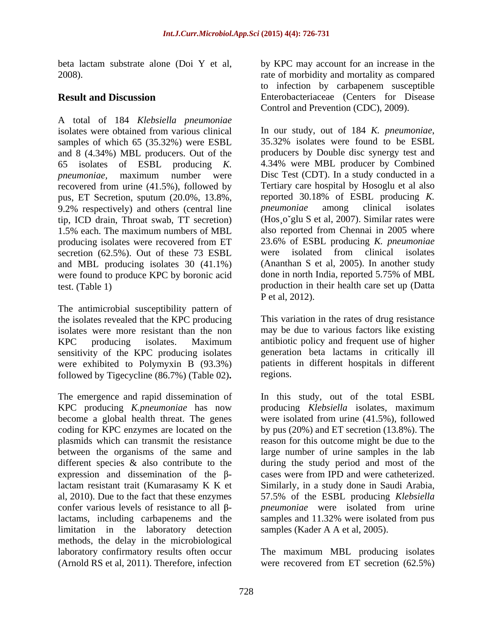A total of 184 *Klebsiella pneumoniae* isolates were obtained from various clinical<br>samples of which 65 (35.32%) were ESBL<br>35.32% isolates were found to be ESBL samples of which 65 (35.32%) were ESBL and 8 (4.34%) MBL producers. Out of the recovered from urine (41.5%), followed by Tertiary care hospital by Hosoglu et al also<br>nus. ET Secretion, sputum (20.0%, 13.8%) reported 30.18% of ESBL producing K. pus, ET Secretion, sputum (20.0%, 13.8%, reported 30.18% of ESBL producing K.<br>9.2% respectively) and others (central line *pneumoniae* among clinical isolates 9.2% respectively) and others (central line *pneumoniae* among tip, ICD drain, Throat swab, TT secretion) secretion (62.5%). Out of these 73 ESBL were isolated from clinical isolates and MBL producing isolates 30 (41.1%) were found to produce KPC by boronic acid

The antimicrobial susceptibility pattern of the isolates revealed that the KPC producing isolates were more resistant than the non KPC producing isolates. Maximum antibiotic policy and frequent use of higher sensitivity of the KPC producing isolates were exhibited to Polymyxin B (93.3%) followed by Tigecycline (86.7%) (Table 02)**.**

between the organisms of the same and expression and dissemination of the  $\beta$ limitation in the laboratory detection methods, the delay in the microbiological laboratory confirmatory results often occur The maximum MBL producing isolates (Arnold RS et al, 2011). Therefore, infection were recovered from ET secretion (62.5%)

beta lactam substrate alone (Doi Y et al, by KPC may account for an increase in the 2008). rate of morbidity and mortality as compared **Result and Discussion** Enterobacteriaceae (Centers for Disease to infection by carbapenem susceptible Control and Prevention (CDC), 2009).

65 isolates of ESBL producing *K.*  4.34% were MBL producer by Combined *pneumoniae,* maximum number were 1.5% each. The maximum numbers of MBL also reported from Chennai in 2005 where producing isolates were recovered from ET 23.6% of ESBL producing K. pneumoniae test. (Table 1) production in their health care set up (Datta In our study, out of <sup>184</sup> *K. pneumoniae*, 35.32% isolates were found to be ESBL producers by Double disc synergy test and Disc Test (CDT). In a study conducted in a Tertiary care hospital by Hosoglu et al also reported 30.18% of ESBL producing *K. pneumoniae* among clinical isolates (Hos¸o glu S et al, 2007). Similar rates were also reported from Chennai in 2005 where 23.6% of ESBL producing *K. pneumoniae* were isolated from clinical isolates (Ananthan S et al, 2005). In another study done in north India, reported 5.75% of MBL P et al, 2012).

> This variation in the rates of drug resistance may be due to various factors like existing antibiotic policy and frequent use of higher generation beta lactams in critically ill patients in different hospitals in different regions.

The emergence and rapid dissemination of In this study, out of the total ESBL KPC producing *K.pneumoniae* has now producing *Klebsiella* isolates, maximum become a global health threat. The genes were isolated from urine (41.5%), followed coding for KPC enzymes are located on the by pus (20%) and ET secretion (13.8%). The plasmids which can transmit the resistance reason for this outcome might be due to the different species & also contribute to the during the study period and most of the lactam resistant trait (Kumarasamy K K et Similarly, in a study done in Saudi Arabia, al, 2010). Due to the fact that these enzymes 57.5% of the ESBL producing *Klebsiella*  confer various levels of resistance to all  $\beta$ - pneumoniae were isolated from urine lactams, including carbapenems and the samples and 11.32% were isolated from pus large number of urine samples in the lab caseswere from IPD and were catheterized. samples (Kader A A et al, 2005).

were recovered from ET secretion (62.5%)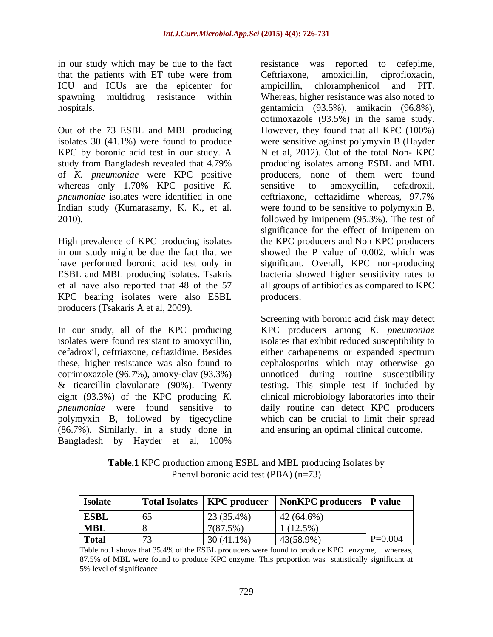in our study which may be due to the fact resistance was reported to cefepime, that the patients with ET tube were from Ceftriaxone, amoxicillin, ciprofloxacin, ICU and ICUs are the epicenter for ampicillin, chloramphenicol and PIT.

KPC by boronic acid test in our study. A whereas only 1.70% KPC positive *K*. sensitive to amoxycillin, cefadroxil, *pneumoniae* isolates were identified in one ceftriaxone, ceftazidime whereas, 97.7% Indian study (Kumarasamy, K. K., et al.

in our study might be due the fact that we KPC bearing isolates were also ESBL producers (Tsakaris A et al, 2009).

In our study, all of the KPC producing KPC producers among *K. pneumoniae* isolates were found resistant to amoxycillin, isolates that exhibit reduced susceptibility to cefadroxil, ceftriaxone, ceftazidime. Besides either carbapenems or expanded spectrum these, higher resistance was also found to cotrimoxazole (96.7%), amoxy-clav (93.3%) unnoticed during routine susceptibility & ticarcillin clavulanate (90%). Twenty testing. This simple test if included by eight (93.3%) of the KPC producing *K.*  clinical microbiology laboratories into their *pneumoniae* were found sensitive to daily routine can detect KPC producers polymyxin B, followed by tigecycline (86.7%). Similarly, in a study done in Bangladesh by Hayder et al, 100%

spawning multidrug resistance within Whereas, higher resistance was also noted to hospitals. gentamicin (93.5%), amikacin (96.8%), Out of the 73 ESBL and MBL producing However, they found that all KPC (100%) isolates 30 (41.1%) were found to produce were sensitive against polymyxin B (Hayder study from Bangladesh revealed that 4.79% producing isolates among ESBL and MBL of *K. pneumoniae* were KPC positive producers, none of them were found 2010). followed by imipenem (95.3%). The test of High prevalence of KPC producing isolates the KPC producers and Non KPC producers have performed boronic acid test only in significant. Overall, KPC non-producing ESBL and MBL producing isolates. Tsakris bacteria showed higher sensitivity rates to et al have also reported that 48 of the 57 all groups of antibiotics as compared to KPC resistance was reported to cefepime, Ceftriaxone, amoxicillin, ciprofloxacin, ampicillin, chloramphenicol and PIT. cotimoxazole (93.5%) in the same study. N et al, 2012). Out of the total Non- KPC sensitive to amoxycillin, cefadroxil, ceftriaxone, ceftazidime whereas, 97.7% were found to be sensitive to polymyxin B, significance for the effect of Imipenem on showed the P value of 0.002, which was producers.

> Screening with boronic acid disk may detect cephalosporins which may otherwise go which can be crucial to limit their spread and ensuring an optimal clinical outcome.

**Table.1** KPC production among ESBL and MBL producing Isolates by Phenyl boronic acid test (PBA) (n=73)

| <b>Isolate</b> |     |              | Total Isolates   KPC producer   NonKPC producers   P value |           |
|----------------|-----|--------------|------------------------------------------------------------|-----------|
| <b>ESBL</b>    | -65 | 23 (35.4%)   | $42(64.6\%)$                                               |           |
| <b>MBL</b>     |     | $7(87.5\%$   | (12.5%                                                     |           |
| <b>Total</b>   |     | $30(41.1\%)$ | 43(58.9%)                                                  | $P=0.004$ |

Table no.1 shows that 35.4% of the ESBL producers were found to produce KPC enzyme, whereas, 87.5% of MBL were found to produce KPC enzyme. This proportion was statistically significant at 5% level of significance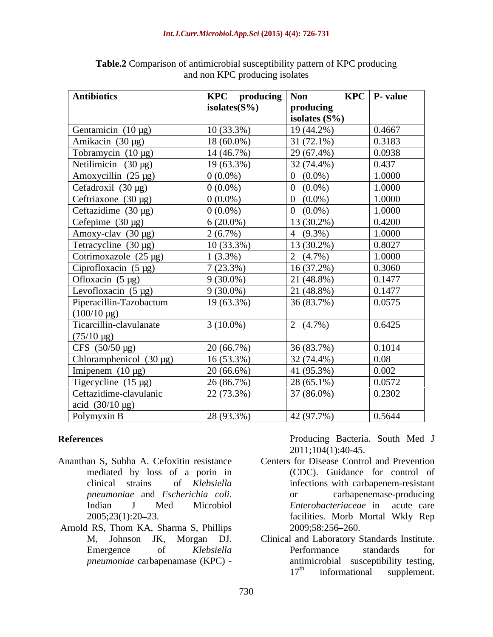| <b>Antibiotics</b>                                            | <b>KPC</b> producing Non |                                              | $KPC$   P value                                                                     |
|---------------------------------------------------------------|--------------------------|----------------------------------------------|-------------------------------------------------------------------------------------|
|                                                               | isolates $(S\%)$         | producing                                    |                                                                                     |
|                                                               |                          | isolates $(S\%)$                             | 0.4667                                                                              |
| Gentamicin $(10 \mu g)$                                       | $10(33.3\%)$             | 19 (44.2%)                                   |                                                                                     |
| Amikacin $(30 \mu g)$                                         | $18(60.0\%)$             | $31(72.1\%)$                                 | 0.3183                                                                              |
| Tobramycin $(10 \mu g)$                                       | 14(46.7%)                | 29 (67.4%)                                   | 0.0938                                                                              |
| Netilimicin $(30 \mu g)$                                      | $19(63.3\%)$             | 32 (74.4%)                                   | 0.437                                                                               |
| Amoxycillin $(25 \mu g)$                                      | $0(0.0\%)$               | $0(0.0\%)$                                   | 1.0000                                                                              |
| Cefadroxil (30 µg)                                            | $0(0.0\%)$               | $0(0.0\%)$                                   | 1.0000                                                                              |
| Ceftriaxone $(30 \mu g)$                                      | $0(0.0\%)$               | $0(0.0\%)$                                   | 1.0000                                                                              |
| Ceftazidime $(30 \mu g)$                                      | $0(0.0\%)$               | $0(0.0\%)$                                   | 1.0000                                                                              |
| Cefepime $(30 \mu g)$                                         | $6(20.0\%)$              | $13(30.2\%)$                                 | 0.4200                                                                              |
| Amoxy-clav (30 µg)                                            | 2(6.7%)                  | 4 $(9.3\%)$                                  | 1.0000                                                                              |
| Tetracycline $(30 \mu g)$                                     | $10(33.3\%)$             | $13(30.2\%)$                                 | 0.8027                                                                              |
| Cotrimoxazole $(25 \mu g)$                                    | $1(3.3\%)$               | 2 $(4.7\%)$                                  | 1.0000                                                                              |
| Ciprofloxacin $(5 \mu g)$                                     | 7(23.3%)                 | 16(37.2%)                                    | 0.3060                                                                              |
| Ofloxacin $(5 \mu g)$                                         | $9(30.0\%)$              | 21 (48.8%)                                   | 0.1477                                                                              |
| Levofloxacin $(5 \mu g)$                                      | $9(30.0\%)$              | 21 (48.8%)                                   | 0.1477                                                                              |
| Piperacillin-Tazobactum                                       | $19(63.3\%)$             | 36 (83.7%)                                   | 0.0575                                                                              |
| $(100/10 \,\mu g)$                                            |                          |                                              |                                                                                     |
| Ticarcillin-clavulanate                                       | $3(10.0\%)$              | 2 $(4.7\%)$                                  | 0.6425                                                                              |
| $(75/10 \,\mu g)$                                             |                          |                                              |                                                                                     |
| CFS $(50/50 \,\mu g)$                                         | 20(66.7%)                | 36 (83.7%)                                   | 0.1014                                                                              |
| Chloramphenicol $(30 \mu g)$                                  | $16(53.3\%)$             | 32 (74.4%)                                   | 0.08                                                                                |
| Imipenem $(10 \mu g)$                                         | $20(66.6\%)$             | 41 (95.3%)                                   | 0.002                                                                               |
| Tigecycline $(15 \mu g)$                                      | 26(86.7%)                | $28(65.1\%)$                                 | 0.0572                                                                              |
| Ceftazidime-clavulanic                                        |                          |                                              | 0.2302                                                                              |
|                                                               | 22(73.3%)                | 37 (86.0%)                                   |                                                                                     |
| acid $(30/10 \,\mu g)$                                        | $28(93.3\%)$             | 42 (97.7%)                                   | 0.5644                                                                              |
| Polymyxin B                                                   |                          |                                              |                                                                                     |
|                                                               |                          |                                              | Producing Bacteria. South Med J                                                     |
| eferences                                                     |                          | $2011;104(1):40-45.$                         |                                                                                     |
| nanthan S, Subha A. Cefoxitin resistance                      |                          | Centers for Disease Control and Prevention   |                                                                                     |
| mediated by loss of a porin in                                |                          |                                              | (CDC). Guidance for control of                                                      |
| clinical strains of Klebsiella                                |                          |                                              |                                                                                     |
|                                                               |                          |                                              | infections with carbapenem-resistant                                                |
| pneumoniae and Escherichia coli.<br>J Med Microbiol<br>Indian |                          | <sub>or</sub>                                | carbapenemase-producing<br>Enterobacteriaceae in acute care                         |
|                                                               |                          |                                              |                                                                                     |
| $2005;23(1):20-23.$                                           |                          |                                              | facilities. Morb Mortal Wkly Rep                                                    |
| mold RS, Thom KA, Sharma S, Phillips                          |                          | 2009;58:256-260.                             |                                                                                     |
| M, Johnson JK, Morgan DJ.                                     |                          | Clinical and Laboratory Standards Institute. | Performance standards for                                                           |
| <sub>of</sub><br>Emergence                                    | Klebsiella               |                                              |                                                                                     |
| pneumoniae carbapenamase (KPC) -                              |                          |                                              | antimicrobial susceptibility testing,<br>17 <sup>th</sup> informational supplement. |
|                                                               |                          |                                              |                                                                                     |

| Table.<br>$c \rightarrow r$<br>.<br>nattern of KFC<br>r producing<br>Comparison of antimicrobial susceptibility |  |
|-----------------------------------------------------------------------------------------------------------------|--|
| .<br>and non<br>. producing isolates<br>- 1813<br>1901aw                                                        |  |

- Ananthan S, Subha A. Cefoxitin resistance Centers for Disease Control and Prevention mediated by loss of a porin in clinical strains of *Klebsiella pneumoniae* and *Escherichia coli.*
- Arnold RS, Thom KA, Sharma S, Phillips 2009;58:256-260.

- clinical strains of *Klebsiella*  infections with carbapenem-resistant Indian J Med Microbiol *Enterobacteriaceae* in acute care 2005;23(1):20 23. facilities. Morb Mortal Wkly Rep **producing Bacteria.** South Med J<br> **producing Bacteria.** South Med J<br>
2011;104(1):40-45.<br>
mediated by loss of a porin in (CDC). Guidance for control of<br>
clinical strains of *Klebsiella* infections with carbapenem-resistant (CDC). Guidance for control of carbapenemase-producing 2009;58:256 260.
- M, Johnson JK, Morgan DJ. Clinical and Laboratory Standards Institute. Emergence of *Klebsiella* Performance standards for Performance standards for antimicrobial susceptibility testing,<br> $17<sup>th</sup>$  informational supplement.